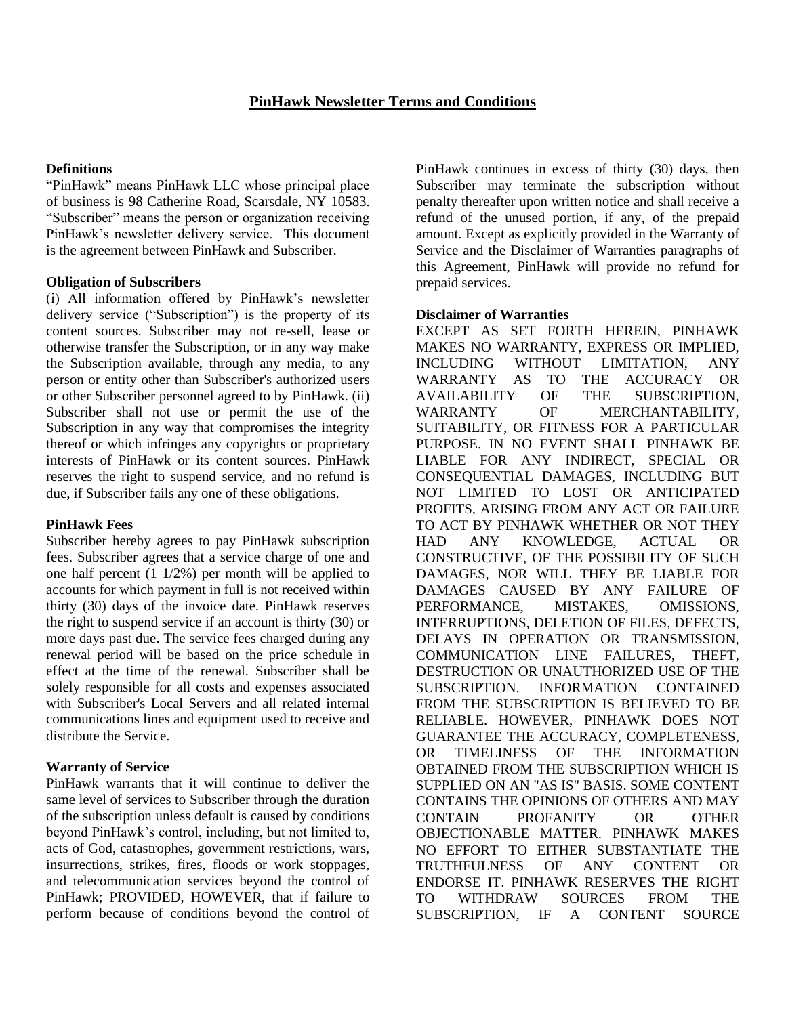# **Definitions**

"PinHawk" means PinHawk LLC whose principal place of business is 98 Catherine Road, Scarsdale, NY 10583. "Subscriber" means the person or organization receiving PinHawk's newsletter delivery service. This document is the agreement between PinHawk and Subscriber.

## **Obligation of Subscribers**

(i) All information offered by PinHawk's newsletter delivery service ("Subscription") is the property of its content sources. Subscriber may not re-sell, lease or otherwise transfer the Subscription, or in any way make the Subscription available, through any media, to any person or entity other than Subscriber's authorized users or other Subscriber personnel agreed to by PinHawk. (ii) Subscriber shall not use or permit the use of the Subscription in any way that compromises the integrity thereof or which infringes any copyrights or proprietary interests of PinHawk or its content sources. PinHawk reserves the right to suspend service, and no refund is due, if Subscriber fails any one of these obligations.

### **PinHawk Fees**

Subscriber hereby agrees to pay PinHawk subscription fees. Subscriber agrees that a service charge of one and one half percent (1 1/2%) per month will be applied to accounts for which payment in full is not received within thirty (30) days of the invoice date. PinHawk reserves the right to suspend service if an account is thirty (30) or more days past due. The service fees charged during any renewal period will be based on the price schedule in effect at the time of the renewal. Subscriber shall be solely responsible for all costs and expenses associated with Subscriber's Local Servers and all related internal communications lines and equipment used to receive and distribute the Service.

### **Warranty of Service**

PinHawk warrants that it will continue to deliver the same level of services to Subscriber through the duration of the subscription unless default is caused by conditions beyond PinHawk's control, including, but not limited to, acts of God, catastrophes, government restrictions, wars, insurrections, strikes, fires, floods or work stoppages, and telecommunication services beyond the control of PinHawk; PROVIDED, HOWEVER, that if failure to perform because of conditions beyond the control of PinHawk continues in excess of thirty (30) days, then Subscriber may terminate the subscription without penalty thereafter upon written notice and shall receive a refund of the unused portion, if any, of the prepaid amount. Except as explicitly provided in the Warranty of Service and the Disclaimer of Warranties paragraphs of this Agreement, PinHawk will provide no refund for prepaid services.

## **Disclaimer of Warranties**

EXCEPT AS SET FORTH HEREIN, PINHAWK MAKES NO WARRANTY, EXPRESS OR IMPLIED, INCLUDING WITHOUT LIMITATION, ANY WARRANTY AS TO THE ACCURACY OR AVAILABILITY OF THE SUBSCRIPTION, WARRANTY OF MERCHANTABILITY, SUITABILITY, OR FITNESS FOR A PARTICULAR PURPOSE. IN NO EVENT SHALL PINHAWK BE LIABLE FOR ANY INDIRECT, SPECIAL OR CONSEQUENTIAL DAMAGES, INCLUDING BUT NOT LIMITED TO LOST OR ANTICIPATED PROFITS, ARISING FROM ANY ACT OR FAILURE TO ACT BY PINHAWK WHETHER OR NOT THEY HAD ANY KNOWLEDGE, ACTUAL OR CONSTRUCTIVE, OF THE POSSIBILITY OF SUCH DAMAGES, NOR WILL THEY BE LIABLE FOR DAMAGES CAUSED BY ANY FAILURE OF PERFORMANCE, MISTAKES, OMISSIONS, INTERRUPTIONS, DELETION OF FILES, DEFECTS, DELAYS IN OPERATION OR TRANSMISSION, COMMUNICATION LINE FAILURES, THEFT, DESTRUCTION OR UNAUTHORIZED USE OF THE SUBSCRIPTION. INFORMATION CONTAINED FROM THE SUBSCRIPTION IS BELIEVED TO BE RELIABLE. HOWEVER, PINHAWK DOES NOT GUARANTEE THE ACCURACY, COMPLETENESS, OR TIMELINESS OF THE INFORMATION OBTAINED FROM THE SUBSCRIPTION WHICH IS SUPPLIED ON AN "AS IS" BASIS. SOME CONTENT CONTAINS THE OPINIONS OF OTHERS AND MAY CONTAIN PROFANITY OR OTHER OBJECTIONABLE MATTER. PINHAWK MAKES NO EFFORT TO EITHER SUBSTANTIATE THE TRUTHFULNESS OF ANY CONTENT OR ENDORSE IT. PINHAWK RESERVES THE RIGHT TO WITHDRAW SOURCES FROM THE SUBSCRIPTION, IF A CONTENT SOURCE